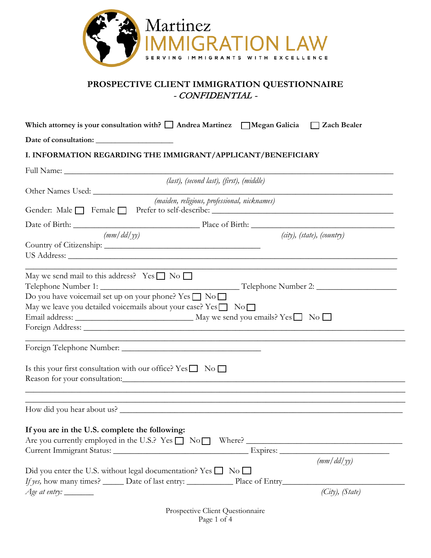

# **PROSPECTIVE CLIENT IMMIGRATION QUESTIONNAIRE** - CONFIDENTIAL -

| I. INFORMATION REGARDING THE IMMIGRANT/APPLICANT/BENEFICIARY<br>(last), (second last), (first), (middle)<br>(maiden, religious, professional, nicknames)<br>Gender: Male Female Prefer to self-describe: ___________________________________<br>(mm/dd/yy)<br>$(city)$ , (state), (country)<br>May we send mail to this address? Yes $\Box$ No $\Box$ |
|-------------------------------------------------------------------------------------------------------------------------------------------------------------------------------------------------------------------------------------------------------------------------------------------------------------------------------------------------------|
|                                                                                                                                                                                                                                                                                                                                                       |
|                                                                                                                                                                                                                                                                                                                                                       |
|                                                                                                                                                                                                                                                                                                                                                       |
|                                                                                                                                                                                                                                                                                                                                                       |
|                                                                                                                                                                                                                                                                                                                                                       |
|                                                                                                                                                                                                                                                                                                                                                       |
|                                                                                                                                                                                                                                                                                                                                                       |
|                                                                                                                                                                                                                                                                                                                                                       |
|                                                                                                                                                                                                                                                                                                                                                       |
| Do you have voicemail set up on your phone? Yes □ No □<br>May we leave you detailed voicemails about your case? $Yes \Box No \Box$                                                                                                                                                                                                                    |
|                                                                                                                                                                                                                                                                                                                                                       |
| Is this your first consultation with our office? $Yes \Box No \Box$<br>Reason for your consultation: CONSERVING TO A CONSERVER THE REAL PROPERTY OF THE REAL PROPERTY OF THE REAL PROPERTY OF THE REAL PROPERTY OF THE REAL PROPERTY OF THE REAL PROPERTY OF THE REAL PROPERTY OF THE REAL PROPERTY O                                                 |
| How did you hear about us?                                                                                                                                                                                                                                                                                                                            |
| If you are in the U.S. complete the following:<br>Are you currently employed in the U.S.? Yes $\Box$ No $\Box$ Where? $\Box$<br>(mm/dd/yy)                                                                                                                                                                                                            |
| Did you enter the U.S. without legal documentation? Yes $\Box$ No $\Box$                                                                                                                                                                                                                                                                              |
| <i>If yes</i> , how many times? ______ Date of last entry: _______________ Place of Entry_____<br>(City), (State)                                                                                                                                                                                                                                     |

Prospective Client Questionnaire Page 1 of 4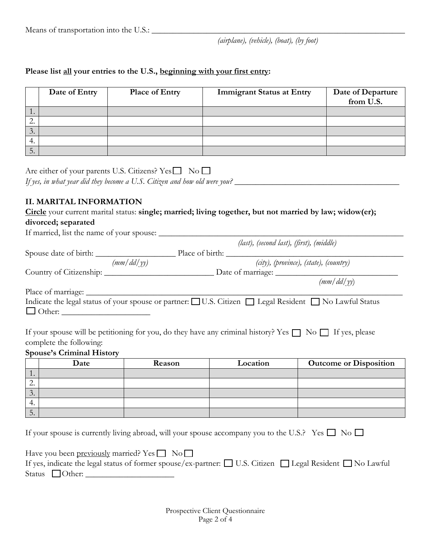### **Please list all your entries to the U.S., beginning with your first entry:**

|                  | Date of Entry | <b>Place of Entry</b> | <b>Immigrant Status at Entry</b> | Date of Departure<br>from U.S. |
|------------------|---------------|-----------------------|----------------------------------|--------------------------------|
| $\overline{1}$ . |               |                       |                                  |                                |
| <u>_</u>         |               |                       |                                  |                                |
| $\cdot$ .        |               |                       |                                  |                                |
| 4.               |               |                       |                                  |                                |
| J.               |               |                       |                                  |                                |

Are either of your parents U.S. Citizens?  $Yes \Box No \Box$ 

*If yes, in what year did they become a U.S. Citizen and how old were you?* \_\_\_\_\_\_\_\_\_\_\_\_\_\_\_\_\_\_\_\_\_\_\_\_\_\_\_\_\_\_\_\_\_\_\_\_\_\_\_

# **II. MARITAL INFORMATION**

| Circle your current marital status: single; married; living together, but not married by law; widow(er); |
|----------------------------------------------------------------------------------------------------------|
| divorced; separated                                                                                      |
| If married, list the name of your spouse:                                                                |

|                         |            | (last), (second last), (first), (middle)                                                                           |
|-------------------------|------------|--------------------------------------------------------------------------------------------------------------------|
|                         |            | Place of birth:                                                                                                    |
|                         | (mm/dd/vy) | $(city)$ , (province), (state), (country)                                                                          |
|                         |            |                                                                                                                    |
|                         |            | (mm/dd/vv)                                                                                                         |
| Place of marriage:      |            |                                                                                                                    |
| $\Box$ Other:           |            | Indicate the legal status of your spouse or partner: □ U.S. Citizen □ Legal Resident □ No Lawful Status            |
| complete the following: |            | If your spouse will be petitioning for you, do they have any criminal history? Yes $\Box$ No $\Box$ If yes, please |

### **Spouse's Criminal History**

|                          | Date | Reason | Location | <b>Outcome or Disposition</b> |
|--------------------------|------|--------|----------|-------------------------------|
| $\overline{\phantom{a}}$ |      |        |          |                               |
|                          |      |        |          |                               |
| $\cdot$ .                |      |        |          |                               |
| 4.                       |      |        |          |                               |
| ◡.                       |      |        |          |                               |

If your spouse is currently living abroad, will your spouse accompany you to the U.S.? Yes  $\square$  No  $\square$ 

| Have you been <u>previously</u> married? Yes $\Box$ No $\Box$                                                             |  |
|---------------------------------------------------------------------------------------------------------------------------|--|
| If yes, indicate the legal status of former spouse/ex-partner: $\Box$ U.S. Citizen $\Box$ Legal Resident $\Box$ No Lawful |  |
| Status $\Box$ Other:                                                                                                      |  |

Prospective Client Questionnaire Page 2 of 4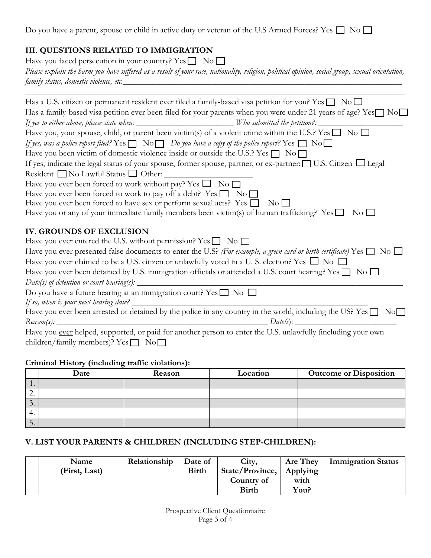Do you have a parent, spouse or child in active duty or veteran of the U.S Armed Forces? Yes  $\square$  No  $\square$ 

# **III. QUESTIONS RELATED TO IMMIGRATION**

| Have you faced persecution in your country? $Yes \Box No \Box$                                                                                  |
|-------------------------------------------------------------------------------------------------------------------------------------------------|
| Please explain the harm you have suffered as a result of your race, nationality, religion, political opinion, social group, sexual orientation, |
| family status, domestic violence, etc.                                                                                                          |

 $\_$  ,  $\_$  ,  $\_$  ,  $\_$  ,  $\_$  ,  $\_$  ,  $\_$  ,  $\_$  ,  $\_$  ,  $\_$  ,  $\_$  ,  $\_$  ,  $\_$  ,  $\_$  ,  $\_$  ,  $\_$  ,  $\_$  ,  $\_$  ,  $\_$  ,  $\_$  ,  $\_$  ,  $\_$  ,  $\_$  ,  $\_$  ,  $\_$  ,  $\_$  ,  $\_$  ,  $\_$  ,  $\_$  ,  $\_$  ,  $\_$  ,  $\_$  ,  $\_$  ,  $\_$  ,  $\_$  ,  $\_$  ,  $\_$  ,

| Has a U.S. citizen or permanent resident ever filed a family-based visa petition for you? Yes $\Box$ No $\Box$                                                                                                                                                                                                                                                                                                                                  |
|-------------------------------------------------------------------------------------------------------------------------------------------------------------------------------------------------------------------------------------------------------------------------------------------------------------------------------------------------------------------------------------------------------------------------------------------------|
| Has a family-based visa petition ever been filed for your parents when you were under 21 years of age? Yes <sup>1</sup> No <sup>1</sup>                                                                                                                                                                                                                                                                                                         |
| If yes to either above, please state when: _________________________Who submitted the petition?: _________                                                                                                                                                                                                                                                                                                                                      |
| Have you, your spouse, child, or parent been victim(s) of a violent crime within the U.S.? Yes $\Box$ No $\Box$                                                                                                                                                                                                                                                                                                                                 |
| If yes, was a police report filed? Yes $\Box$ No $\Box$ Do you have a copy of the police report? Yes $\Box$ No $\Box$                                                                                                                                                                                                                                                                                                                           |
| Have you been victim of domestic violence inside or outside the U.S.? Yes $\Box$ No $\Box$                                                                                                                                                                                                                                                                                                                                                      |
| If yes, indicate the legal status of your spouse, former spouse, partner, or ex-partner: $\Box$ U.S. Citizen $\Box$ Legal                                                                                                                                                                                                                                                                                                                       |
| Resident No Lawful Status Other:                                                                                                                                                                                                                                                                                                                                                                                                                |
| Have you ever been forced to work without pay? Yes $\Box$ No $\Box$                                                                                                                                                                                                                                                                                                                                                                             |
| Have you ever been forced to work to pay off a debt? Yes $\Box$ No $\Box$                                                                                                                                                                                                                                                                                                                                                                       |
| Have you ever been forced to have sex or perform sexual acts? Yes □ No □                                                                                                                                                                                                                                                                                                                                                                        |
| Have you or any of your immediate family members been victim(s) of human trafficking? Yes $\Box$ No $\Box$                                                                                                                                                                                                                                                                                                                                      |
| <b>IV. GROUNDS OF EXCLUSION</b>                                                                                                                                                                                                                                                                                                                                                                                                                 |
| Have you ever entered the U.S. without permission? Yes $\Box$ No $\Box$<br>Have you ever presented false documents to enter the U.S? (For example, a green card or birth certificate) Yes $\Box$ No $\Box$<br>Have you ever claimed to be a U.S. citizen or unlawfully voted in a U.S. election? Yes $\Box$ No $\Box$<br>Have you ever been detained by U.S. immigration officials or attended a U.S. court hearing? Yes $\square$ No $\square$ |
| $Date(s)$ of detention or court hearing(s): $\angle$                                                                                                                                                                                                                                                                                                                                                                                            |
| Do you have a future hearing at an immigration court? Yes $\square$ No $\square$                                                                                                                                                                                                                                                                                                                                                                |
| If so, when is your next hearing date? $\_\_$<br>Have you ever been arrested or detained by the police in any country in the world, including the US? Yes no                                                                                                                                                                                                                                                                                    |
| $Reason(s): \_$                                                                                                                                                                                                                                                                                                                                                                                                                                 |
| Have you ever helped, supported, or paid for another person to enter the U.S. unlawfully (including your own                                                                                                                                                                                                                                                                                                                                    |
| children/family members)? $Yes \Box No \Box$                                                                                                                                                                                                                                                                                                                                                                                                    |

# **Criminal History (including traffic violations):**

|                          | Date | Reason | Location | <b>Outcome or Disposition</b> |
|--------------------------|------|--------|----------|-------------------------------|
| $\overline{\phantom{a}}$ |      |        |          |                               |
| <u>L.</u>                |      |        |          |                               |
| $\cup$ .                 |      |        |          |                               |
| 4.                       |      |        |          |                               |
| $\bm{\mathcal{C}}$ .     |      |        |          |                               |

# **V. LIST YOUR PARENTS & CHILDREN (INCLUDING STEP-CHILDREN):**

| Name          | Relationship | Date of | City,                      | Are They | <b>Immigration Status</b> |
|---------------|--------------|---------|----------------------------|----------|---------------------------|
| (First, Last) |              | Birth   | State/Province,   Applying |          |                           |
|               |              |         | Country of                 | with     |                           |
|               |              |         | <b>Birth</b>               | You?     |                           |